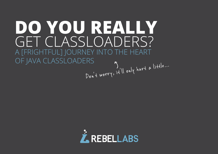# **DO YOU REALLY**  GET CLASSLOADERS? A [FRIGHTFUL] JOURNEY INTO THE HEART OF JAVA CLASSLOADERS<br>Drit worry, it'll only hurt a little...

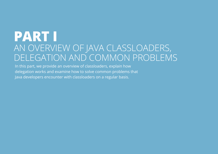## **PART I** AN OVERVIEW OF JAVA CLASSLOADERS, DELEGATION AND COMMON PROBLEMS

In this part, we provide an overview of classloaders, explain how delegation works and examine how to solve common problems that Java developers encounter with classloaders on a regular basis.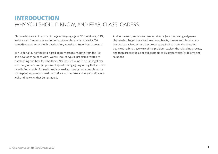## **INTRODUCTION**  WHY YOU SHOULD KNOW, AND FEAR, CLASSLOADERS

Classloaders are at the core of the Java language. Java EE containers, OSGi, various web frameworks and other tools use classloaders heavily. Yet, something goes wrong with classloading, would you know how to solve it?

Join us for a tour of the Java classloading mechanism, both from the JVM and developer point-of-view. We will look at typical problems related to classloading and how to solve them. NoClassDefFoundError, LinkageError and many others are symptoms of specific things going wrong that you can usually find and fix. For each problem, we'll go through an example with a corresponding solution. We'll also take a look at how and why classloaders leak and how can that be remedied.

And for dessert, we review how to reload a Java class using a dynamic classloader. To get there we'll see how objects, classes and classloaders are tied to each other and the process required to make changes. We begin with a bird's eye view of the problem, explain the reloading process, and then proceed to a specific example to illustrate typical problems and solutions.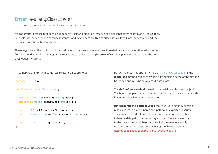## **Enter** java.lang.ClassLoader

Let's dive into the beautiful world of classloader mechanics.

It's important to realize that each classloader is itself an object--an instance of a class that extends java.lang.ClassLoader. Every class is loaded by one of those instances and developers are free to subclass java.lang.ClassLoader to extend the manner in which the JVM loads classes.

There might be a little confusion: if a classloader has a class and every class is loaded by a classloader, then what comes first? We need an understanding of the mechanics of a classloader (by proxy of examining its API contract) and the JVM classloader hierarchy.

First, here is the API, with some less relevant parts omitted:

package java.lang;

```
public abstract class ClassLoader {
```

```
 public Class loadClass(String name);
 protected Class defineClass(byte[] b);
```

```
 public URL getResource(String name);
public Enumeration getResources(String name);
```

```
 public ClassLoader getParent()
```
}

By far, the most important method of [java.lang.ClassLoader](http://docs.oracle.com/javase/6/docs/api/java/lang/ClassLoader.html) is the **loadClass** method, which takes the fully qualified name of the class to be loaded and returns an object of class Class.

The **defineClass** method is used to materialize a class for the JVM. The byte array parameter of defineClass is the actual class byte code loaded from disk or any other location.

**getResource** and **getResources** return URLs to actually existing resources when given a name or a path to an expected resource. They are an important part of the classloader contract and have to handle delegation the same way as loadClass - delegating to the parent first and then trying to find the resource locally. We can even view loadClass as being roughly equivalent to defineClass(getResource(name).getBytes()).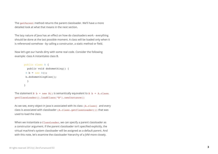The getParent method returns the parent classloader. We'll have a more detailed look at what that means in the next section.

The lazy nature of Java has an effect on how do classloaders work - everything should be done at the last possible moment. A class will be loaded only when it is referenced somehow - by calling a constructor, a static method or field.

Now let's get our hands dirty with some real code. Consider the following example: class A instantiates class B.

```
public class A {
  public void doSomething() {
B b = new B();
 b.doSomethingElse();
  }
}
```
The statement  $B$  b = new  $B()$  is semantically equivalent to  $B$  b = A.class. getClassLoader().loadClass("B").newInstance()

As we see, every object in Java is associated with its class (A.class) and every class is associated with classloader (A.class.getClassLoader()) that was used to load the class.

When we instantiate a ClassLoader, we can specify a parent classloader as a constructor argument. If the parent classloader isn't specified explicitly, the virtual machine's system classloader will be assigned as a default parent. And with this note, let's examine the classloader hierarchy of a JVM more closely.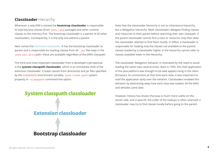## **Classloader** Hierarchy

Whenever a new JVM is started the **bootstrap classloader** is responsible to load key Java classes (from java. Lang package) and other runtime classes to the memory first. The bootstrap classloader is a parent of all other classloaders. Consequently, it is the only one without a parent.

Next comes the [extension classloader.](http://docs.oracle.com/javase/tutorial/ext/index.html) It has the bootstrap classloader as parent and is responsible for loading classes from all .jar files kept in the java.ext.dirs path--these are available regardless of the JVM's classpath.

The third and most important classloader from a developer's perspective is the **system classpath classloader**, which is an immediate child of the extension classloader. It loads classes from directories and jar files specified by the CLASSPATH environment variable, java.class.path system property or -classpath command line option.



Note that the classloader hierarchy is not an inheritance hierarchy, but a delegation hierarchy. Most classloaders delegate finding classes and resources to their parent before searching their own classpath. If the parent classloader cannot find a class or resource, only then does the classloader attempt to find them locally. In effect, a classloader is responsible for loading only the classes not available to the parent; classes loaded by a classloader higher in the hierarchy cannot refer to classes available lower in the hierarchy.

The classloader delegation behavior is motivated by the need to avoid loading the same class several times. Back in 1995, the chief application of the Java platform was thought to be web applets living in the client (browser). As connections at that time were slow, it was important to load the application lazily over the network. Classloaders enabled this behavior by abstracting away how each class was loaded. All the bells and whistles came later.

However, history has shown that Java is much more useful on the server side, and in Java EE, the order of the lookups is often reversed: a classloader may try to find classes locally before going to the parent.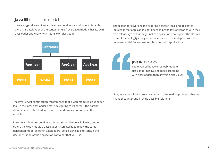## **Java EE** delegation model

Here's a typical view of an application container's classloaders hierarchy: there is a classloader of the container itself, every EAR module has its own classloader and every WAR has its own classloader.



The reason for reversing the ordering between local and delegated lookups is that application containers ship with lots of libraries with their own release cycles that might not fit application developers. The classical example is the log4j library--often one version of it is shipped with the container and different versions bundled with applications.

**JEVGENI** KABANOV:

The reversed behavior of web module classloader has caused more problems with classloaders than anything else... ever.

Now, let's take a look at several common classloading problems that we might encounter and provide possible solutions.

The Java Servlet specification recommends that a web module's classloader look in the local classloader before delegating to its parent--the parent classloader is only asked for resources and classes not found in the module.

In some application containers this recommendation is followed, but in others the web module's classloader is configured to follow the same delegation model as other classloaders--so it is advisable to consult the documentation of the application container that you use.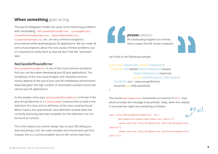## **When something** goes wrong

The Java EE delegation model can cause some interesting problems with classloading. NoClassDefFoundError, LinkageError, ClassNotFoundException, NoSuchMethodError, ClassCastException, etc. are very common exceptions encountered while developing Java EE applications. We can make all sorts of assumptions about the root causes of these problems, but it's important to verify them so that we don't feel like "dummies" later.

#### **NoClassDefFoundError**

NoClassDefFoundError is one of the most common problems that you can face when developing Java EE Java applications. The complexity of the root cause analysis and resolution process mainly depend of the size of your Java EE middleware environment; especially given the high number of classloaders present across the various Java EE applications.

As the Javadoc entry says, NoClassDefFoundError is thrown if the Java Virtual Machine or a ClassLoader instance tries to load in the definition of a class and no definition of the class could be found. Which means, the searched-for class definition existed when the currently executing class was compiled, but the definition can not be found at runtime.

This is the reason you cannot always rely on your IDE telling you that everything is OK, the code compiles and should work just fine. Instead, this is a runtime problem and an IDE cannot help here.



#### **JEVGENI** KABANOV:

All classloading happens at runtime, which makes the IDE results irrelevant.



Let's look at the following example.

public class HelloServlet extends HttpServlet { protected void doGet(HttpServletRequest request, HttpServletResponse response) throws ServletException, IOException {

 PrintWriter out = response.getWriter(); out.print(new Util().sayHello());

}

The servlet HelloServlet instantiates an instance of Util class which provides the message to be printed. Sadly, when the request is executed we might see something as follows:

java.lang.NoClassdefFoundError: Util



HelloServlet:doGet(HelloServlet.java:17)

javax.servlet.http.HttpServlet.service(HttpServlet.

java:617)

javax.servlet.http.HttpServlet.service(HttpServlet. java:717)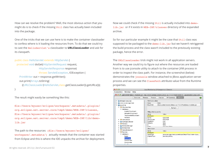How can we resolve the problem? Well, the most obvious action that you might do is to check if the missing Util class has actually been included into the package.

One of the tricks that we can use here is to make the container classloader to confess where is it loading the resources from. To do that we could try to cast the HelloServlet's classloader to **URLClassLoader** and ask for its classpath.

```
public class HelloServlet extends HttpServlet {
  protected void doGet(HttpServletRequest request, 
                     HttpServletResponse response) 
                     throws ServletException, IOException {
    PrintWriter out = response.getWriter();
    out.print(Arrays.toString(
       ((URLClassLoader)HelloServlet.class.getClassLoader()).getURLs())); 
}
```
The result might easily be something like this:

file:/Users/myuser/eclipse/workspace/.metadata/.plugins/ org.eclipse.wst.server.core/tmp0/demo/WEB-INF/classes, file:/Users/myuser/eclipse/workspace/.metadata/.plugins/ org.eclipse.wst.server.core/tmp0/demo/WEB-INF/lib/demolib.jar

The path to the resources (file:/Users/myuser/eclipse/ workspace/.metadata/) actually reveals that the container was started from Eclipse and this is where the IDE unpacks the archive for deployment. Now we could check if the missing Util is actually included into demolib.jar or if it exists in WEB-INF/classes directory of the expanded archive.

So for our particular example it might be the case that Util class was supposed to be packaged to the demo-lib.jar but we haven't retriggered the build process and the class wasn't included to the previously existing package, hence the error.

The URLClassLoader trick might not work in all application servers. Another way we could try to figure out where the resources are loaded from is to use jconsole utility to attach to the container JVM process in order to inspect the class path. For instance, the screenshot (below) demonstrates the jconsole window attached to JBoss application server process and we can see the ClassPath attribute value from the Runtime properties.

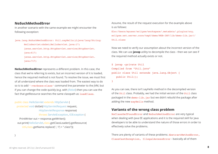#### **NoSuchMethodError**

In another scenario with the same example we might encounter the following exception:

java.lang.NoSuchMethodError: Util.sayHello()Ljava/lang/String;

HelloServlet:doGet(HelloServlet.java:17) javax.servlet.http.HttpServlet.service(HttpServlet. java:617) javax.servlet.http.HttpServlet.service(HttpServlet.

java:717)

**NoSuchMethodError** represents a different problem. In this case, the class that we're referring to exists, but an incorrect version of it is loaded, hence the required method is not found. To resolve the issue, we must first of all understand where the class was loaded from. The easiest way to do so is to add '-verbose:class' command line parameter to the JVM, but if you can change the code quickly (e.g. with [JRebel](http://jrebel.com)) then you can use the fact that getResource searches the same classpath as loadClass.

public class HelloServlet extends HttpServlet { protected void doGet(HttpServletRequest request, HttpServletResponse response) throws ServletException, IOException { PrintWriter out = response.getWriter(); out.print(HelloServlet.class.getClassLoader().getResource( Util.class.getName.replace('.', '/') + ".class"));

}

Assume, the result of the request execution for the example above is as follows: file:/Users/myuser/eclipse/workspace/.metadata/.plugins/org. eclipse.wst.server.core/tmp0/demo/WEB-INF/lib/demo-lib.jar!/ Util.class

Now we need to verify our assumption about the incorrect version of the class. We can use **javap** utility to decompile the class - then we can see if the required method actually exists or not.

```
$ javap -private Util
Compiled from "Util.java"
public class Util extends java.lang.Object {
    public Util();
}
```
As you can see, there isn't sayHello method in the decompiled version of the Util class. Probably, we had the initial version of the Util class packaged in the demo-lib.jar but we didn't rebuild the package after adding the new say Hello method.

#### **Variants of the wrong class problem**

NoClassDefFoundError and NoSuchMethodError are very typical when dealing with Java EE applications and it is the required skill for Java developers to be able to understand the nature of those errors in order to effectively solve the problems.

There are plenty of variants of these problems: AbstractMethodError, ClassCastException, IllegalAccessError - basically all of them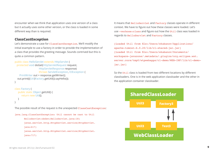encounter when we think that application uses one version of a class but it actually uses some other version, or the class is loaded in some different way than is required.

#### **ClassCastException**

Let's demonstrate a case for ClassCastException. We'll modify the initial example to use a factory in order to provide the implementation of a class that provides the greeting message. Sounds contrived but this is quite a common pattern.

```
public class HelloServlet extends HttpServlet {
```

```
 protected void doGet(HttpServletRequest request, 
                     HttpServletResponse response) 
                     throws ServletException, IOException {
     PrintWriter out = response.getWriter();
   out.print(((Util)Factory.getUtil()).sayHello());
}
```

```
class Factory {
   public static Object getUtil() {
       return new Util();
 }
}
```
The possible result of the request is the unexpected ClassCastException:

```
java.lang.ClassCastException: Util cannot be cast to Util
      HelloServlet:doGet(HelloServlet.java:18)
      javax.servlet.http.HttpServlet.service(HttpServlet. 
      java:617)
      javax.servlet.http.HttpServlet.service(HttpServlet.
      java:717)
```
It means that HelloServlet and Factory classes operate in different context. We have to figure out how these classes were loaded. Let's use -verbose:class and figure out how the Util class was loaded in regards to HelloServlet and Factory classes.

[Loaded Util from file:/Users/ekabanov/Applications/ apache-tomcat-6.0.20/lib/cl-shared-jar.jar] [Loaded Util from file:/Users/ekabanov/Documents/ workspace-javazone/.metadata/.plugins/org.eclipse.wst. server.core/tmp0/wtpwebapps/cl-demo/WEB-INF/lib/cl-demojar.jar]

So the Util class is loaded from two different locations by different classloaders. One is in the web application classloader and the other in the application container classloader.

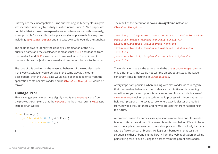But why are they incompatible? Turns out that originally every class in Java was identified uniquely by its fully qualified name. But in 1997 a paper was published that exposed an expansive security issue cause by this--namely, it was possible for a sandboxed application (i.e. applet) to define any class including java.lang.String and inject its own code outside the sandbox.

The solution was to identify the class by a combination of the fully qualified name and the classloader! It means that Util class loaded from classloader A and Util class loaded from classloader B are different classes as far as the JVM is concerned and one cannot be cast to the other!

The root of this problem is the reversed behavior of the web classloader. If the web classloader would behave in the same way as the other classloaders, then the Util class would have been loaded once from the application container classloader and no ClassCastException would be thrown.

#### **LinkageError**

Things can get even worse. Let's slightly modify the Factory class from the previous example so that the getUtil method now returns Util type instead of an Object:

```
class Factory {
      public static Util getUtil() {
           return new Util();
      }
}
```
The result of the execution is now a **LinkageError** instead of ClassCastException:

java.lang.LinkageError: loader constraint violation: when resolving method Factory.getUtil()LUtil; <…> HelloServlet:doGet(HelloServlet.java:18) javax.servlet.http.HttpServlet.service(HttpServlet. java:617) javax.servlet.http.HttpServlet.service(HttpServlet. java:717)

The underlying issue is the same as with the ClassCastException--the only difference is that we do not cast the object, but instead, the loader constraint kicks in resulting in LinkageError.

A very important principle when dealing with classloaders is to recognize that classloading behaviour often defeats your intuitive understanding, so validating your assumptions is very important. For example, in case of LinkageError looking at the code or build process will hinder rather than help your progress. The key is to look where exactly classes are loaded from, how did they get there and how to prevent that from happening in the future.

A common reason for same classes present in more than one classloader is when different versions of the same library is bundled in different places --e.g. the application server and the web application. This typically happens with de facto standard libraries like log4j or hibernate. In that case the solution is either unbundling the library from the web application or taking painstaking care to avoid using the classes from the parent classloader.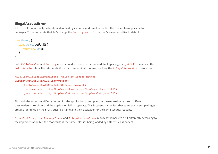#### **IllegalAccessError**

It turns out that not only is the class identified by its name and classloader, but the rule is also applicable for packages. To demonstrate that, let's change the Factory. getUtil method's access modifier to default:

```
class Factory {
    static Object getUtil() {
        return new Util();
    }
}
```
Both HelloServlet and Factory are assumed to reside in the same (default) package, so getUtil is visible in the HelloServlet class. Unfortunately, if we try to access it at runtime, we'll see the IllegalAccessError exception

```
java.lang.IllegalAccessError: tried to access method 
Factory.getUtil()Ljava/lang/Object;
      HelloServlet:doGet(HelloServlet.java:18)
      javax.servlet.http.HttpServlet.service(HttpServlet.java:617)
      javax.servlet.http.HttpServlet.service(HttpServlet.java:717)
```
Although the access modifier is correct for the application to compile, the classes are loaded from different classloaders at runtime, and the application fails to operate. This is caused by the fact that same as classes, packages are also identified by their fully qualified name and the classloader for the same security reasons.

ClassCastException, LinkageError and IllegalAccessError manifest themselves a bit differently according to the implementation but the root cause is the same - classes being loaded by different classloaders.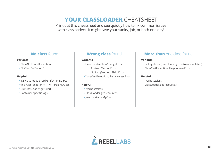## **YOUR CLASSLOADER** CHEATSHEET

Print out this cheatsheet and see quickly how to fix common issues with classloaders. It might save your sanity, job, or both one day!

## **No class** found

#### **Variants**

- ClassNotFoundException
- NoClassDefFoundError

#### **Helpful**

- IDE class lookup (Ctrl+Shift+T in Eclipse)
- find \*.jar -exec jar -tf '{}'\; | grep MyClass
- URLClassLoader.getUrls()
- Container specific logs

## **Wrong class** found

#### **Variants**

IncompatibleClassChangeError AbstractMethodError NoSuch(Method|Field)Error ClassCastException, IllegalAccessError

#### **Helpful**

- -verbose:class
- ClassLoader.getResource()
- javap -private MyClass

## **More than** one class found

#### **Variants**

- LinkageError (class loading constraints violated)
- ClassCastException, IllegalAccessError

#### **Helpful**

- -verbose:class
- ClassLoader.getResource()

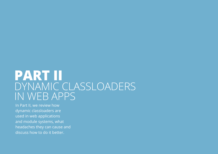## **PART II**  DYNAMIC CLASSLOADERS IN WEB APPS

In Part II, we review how dynamic classloaders are used in web applications and module systems, what headaches they can cause and discuss how to do it better.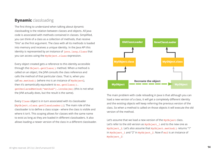## **Dynamic** classloading

The first thing to understand when talking about dynamic classloading is the relation between classes and objects. All Java code is associated with methods contained in classes. Simplified, you can think of a class as a collection of methods, that receive "this" as the first argument. The class with all its methods is loaded into memory and receives a unique identity. In the Java API this identity is represented by an instance of java.lang.Class that you can access using the MyObject.class expression.

Every object created gets a reference to this identity accessible through the Object.getClass() method. When a method is called on an object, the JVM consults the class reference and calls the method of that particular class. That is, when you call mo.method() (where mo is an instance of MyObject), then it's semantically equivalent to mo.getClass(). getDeclaredMethod("method").invoke(mo) (this is not what the JVM actually does, but the result is the same).

Every Class object is in turn associated with its classloader (MyObject.class.getClassLoader()). The main role of the classloader is to define a class scope - where the class is visible and where it isn't. This scoping allows for classes with the same name to exist as long as they are loaded in different classloaders. It also allows loading a newer version of the class in a different classloader.



The main problem with code reloading in Java is that although you can load a new version of a class, it will get a completely different identity and the existing objects will keep referring the previous version of the class. So when a method is called on those objects it will execute the old version of the method.

Let's assume that we load a new version of the MyObject class. Let's refer to the old version as  $MyObject$  1 and to the new one as MyObject 2. Let's also assume that MyObject.method() returns "1" in MyObject\_1 and "2" in MyObject\_2. Now if mo2 is an instance of MyObject\_2: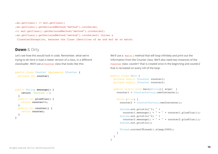• mo.getClass() != mo2.getClass() • mo.getClass().getDeclaredMethod("method").invoke(mo) •!= mo2.getClass().getDeclaredMethod("method").invoke(mo2) • mo.getClass().getDeclaredMethod("method").invoke(mo2) throws a ClassCastException, because the Class identities of mo and mo2 do no match.

#### **Down** & Dirty

Let's see how this would look in code. Remember, what we're trying to do here is load a newer version of a class, in a different classloader. We'll use a Counter class that looks like this:

```
public class Counter implements ICounter {
  private int counter;
```

```
public String message() {
     return "Version 1";
   }
   public int plusPlus() {
     return counter++;
   }
   public int counter() {
     return counter;
   }
}
```
We'll use a main() method that will loop infinitely and print out the information from the Counter class. We'll also need two instances of the Counter class: *counter1* that is created once in the beginning and *counter2* that is recreated on every roll of the loop:

```
public class Main {
  private static ICounter counter1;
  private static ICounter counter2;
  public static void main(String[] args) {
    counter1 = CounterFactory.newInstance();
    while (true) {
      counter2 = CounterFactory.newInstance();
      System.out.println("1) " +
        counter1.message() + " = " + counter1.plusPlus()); System.out.println("2) " +
        counter2.message() + " = " + counter2.plusPlus()); System.out.println();
     Thread.currentThread().sleep(3000);
    }
  }
}
```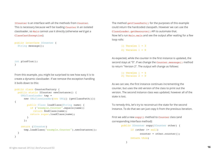ICounter is an interface with all the methods from Counter. This is necessary because we'll be loading Counter in an isolated classloader, so Main cannot use it directly (otherwise we'd get a ClassCastException).

```
public interface ICounter {
 String message();
```

```
int plusPlus();
}
```
From this example, you might be surprised to see how easy it is to create a dynamic classloader. If we remove the exception handling it boils down to this:

```
public class CounterFactory {
  public static ICounter newInstance() {
     URLClassLoader tmp =
      new URLClassLoader(new URL[] {getClassPath()}) 
{
         public Class loadClass(String name) {
           if ("example.Counter".equals(name))
             return findClass(name);
           return super.loadClass(name);
 }
       };
     return (ICounter)
       tmp.loadClass("example.Counter").newInstance();
  }
}
```
The method getClassPath() for the purposes of this example could return the hardcoded classpath. However we can use the ClassLoader.getResource() API to automate that. Now let's run Main.main and see the output after waiting for a few loop rolls:

```
1) Version 1 = 32) Version 1 = 0
```
As expected, while the counter in the first instance is updated, the second stays at "0". If we change the Counter.message() method to return "Version 2". The output will change as follows:

> 1) Version  $1 = 4$  $2)$  Version  $2 = 0$

As we can see, the first instance continues incrementing the counter, but uses the old version of the class to print out the version. The second instance class was updated, however all of the state is lost.

To remedy this, let's try to reconstruct the state for the second instance. To do that we can just copy it from the previous iteration.

First we add a new copy() method to Counter class (and corresponding interface method):

```
public ICounter copy(ICounter other) {
       if (other != null)
             counter = other.counter();
       return this;
    }
```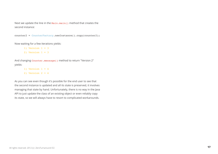Next we update the line in the Main.main() method that creates the second instance:

```
counter2 = CounterFactory.newInstance().copy(counter2);
```
Now waiting for a few iterations yields:

- 1) Version  $1 = 3$
- 2) Version  $1 = 3$

And changing Counter.message() method to return "Version 2" yields:

> 1) Version  $1 = 4$ 2) Version  $2 = 4$

As you can see even though it's possible for the end user to see that the second instance is updated and all its state is preserved, it involves managing that state by hand. Unfortunately, there is no way in the Java API to just update the class of an existing object or even reliably copy its state, so we will always have to resort to complicated workarounds.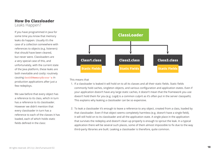### **How Do Classloader**  Leaks Happen?

If you have programmed in Java for some time you know that memory leaks do happen. Usually it's the case of a collection somewhere with references to objects (e.g. listeners) that should have been cleared, but never were. Classloaders are a very special case of this, and unfortunately, with the current state of the Java platform, these leaks are both inevitable and costly: routinely causing OutOfMemoryError's in production applications after just a few redeploys.

We saw before that every object has a reference to its class, which in turn has a reference to its classloader. However we didn't mention that every classloader in turn has a reference to each of the classes it has loaded, each of which holds static fields defined in the class:



This means that

- 1. If a classloader is leaked it will hold on to all its classes and all their static fields. Static fields commonly hold caches, singleton objects, and various configuration and application states. Even if your application doesn't have any large static caches, it doesn't mean that the framework you use doesn't hold them for you (e.g. Log4) is a common culprit as it's often put in the server classpath). This explains why leaking a classloader can be so expensive.
- To leak a classloader it's enough to leave a reference to any object, created from a class, loaded by 2. that classloader. Even if that object seems completely harmless (e.g. doesn't have a single field), it will still hold on to its classloader and all the application state. A single place in the application that survives the redeploy and doesn't clean up properly is enough to sprout the leak. In a typical application there will be several such places, some of them almost impossible to fix due to the way third-party libraries are built. Leaking a classloader is therefore, quite common.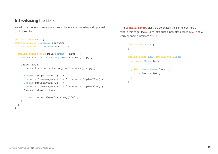## **Introducing** the LEAK

We will use the exact same Main class as before to show what a simple leak could look like:

```
public class Main {
private static ICounter counter1;
  private static ICounter counter2;
  public static void main(String[] args) {
    counter1 = CounterFactory.newInstance().copy();
    while (true) {
       counter2 = CounterFactory.newInstance().copy();
       System.out.println("1) " +
        counter1.message() + " = " + counter1.plusPlus()); System.out.println("2) " +
        counter2.message() + " = " + counter2.plusPlus()); System.out.println();
       Thread.currentThread().sleep(3000);
     }
   }
}
```
The CounterFactory class is also exactly the same, but here's where things get leaky. Let's introduce a new class called Leak and a corresponding interface ILeak:

```
interface ILeak {
}
public class Leak implements ILeak {
  private ILeak leak;
  public Leak(ILeak leak) {
     this.leak = leak;
  }
}
```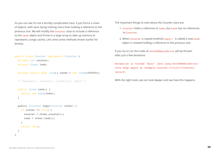As you can see it's not a terribly complicated class: it just forms a chain of objects, with each doing nothing more than holding a reference to the previous one. We will modify the Counter class to include a reference to the Leak object and throw in a large array to take up memory (it represents a large cache). Let's omit some methods shown earlier for brevity:

```
public class Counter implements ICounter {
```
 private int counter; private ILeak leak;

```
 private static final long[] cache = new long[1000000];
```

```
 /* message(), counter(), plusPlus() impls */
```

```
 public ILeak leak() {
   return new Leak(leak);
 }
```

```
 public ICounter copy(ICounter other) {
   if (other != null) {
     counter = other.counter();
    \text{leak} = \text{other.} \text{leak}();
   }
   return this;
 }
```
The important things to note about the Counter class are:

- 1. Counter holds a reference to Leak, but Leak has no references to Counter.
- 2. When Counter is copied (method copy() is called) a new Leak object is created holding a reference to the previous one.

If you try to run this code an OutOfMemoryError will be thrown after just a few iterations:

Exception in thread "main" java.lang.OutOfMemoryError: Java heap space at example.Counter.<clinit>(Counter. java:8)

With the right tools, we can look deeper and see how this happens.

}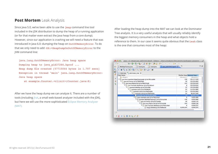## **Post Mortem** Leak Analysis

Since Java 5.0, we've been able to use the jmap command line tool included in the JDK distribution to dump the heap of a running application (or for that matter even extract the Java heap from a core dump). However, since our application is crashing we will need a feature that was introduced in Java 6.0: dumping the heap on OutOfMemoryError. To do that we only need to add -XX:+HeapDumpOnOutOfMemoryError to the JVM command line:

java.lang.OutOfMemoryError: Java heap space Dumping heap to java pid37266.hprof ... Heap dump file created [57715044 bytes in 1.707 secs] Exception in thread "main" java.lang.OutOfMemoryError: Java heap space

at example.Counter.<clinit>(Counter.java:8)

After we have the heap dump we can analyze it. There are a number of tools (including jhat, a small web-based analyzer included with the JDK), but here we will use the more sophisticated Eclipse Memory Analyzer (MAT).

After loading the heap dump into the MAT we can look at the Dominator Tree analysis. It is a very useful analysis that will usually reliably identify the biggest memory consumers in the heap and what objects hold a reference to them. In our case it seems quite obvious that the Leak class is the one that consumes most of the heap:

| $\Box$ Leak.java<br>I ILeak.java<br>$\approx$ java pid15541.hprof $\approx$<br>J WebAppFactory.java | $\mathcal{D}_1$     |                            |
|-----------------------------------------------------------------------------------------------------|---------------------|----------------------------|
| i Ⅱ 님 @   티 · �� ·   Q   급 · ඕ · 스 ·   상                                                            |                     |                            |
| i Overview   dominator_tree &                                                                       |                     |                            |
| <b>Class Name</b>                                                                                   |                     | Shallow Heap Retained Heap |
| t> <regex></regex>                                                                                  | <numeric></numeric> | <numeric></numeric>        |
| ▼ 6 sun.misc.Launcher\$AppClassLoader @ 0x7f81ca080                                                 | 136                 | 120,117,520                |
| Java.util.Vector @ 0x7f89878b0                                                                      | 40                  | 120,058,960                |
| $\blacksquare$ java.lang.Object[10] @ 0x7f89765d8                                                   | 104                 | 120,058,920                |
| ▼ c class example.AppServer @ 0x7fb280de0                                                           | 8                   | 120.058.816                |
| ▼ example.WebApp @ 0x7f3f47f90                                                                      | 32                  | 120,058,808                |
| $\triangledown$ example. Leak @ 0x7f3f48028                                                         | 24                  | 112,054,880                |
| V example. Leak @ 0x7fa83eb68                                                                       | 24                  | 104,050,960                |
| example.Leak @ 0x7fa83e028                                                                          | 24                  | 96,047,040                 |
| example.Leak @ 0x7f37a4be0                                                                          | 24                  | 88.043.120                 |
| $\triangledown$ class example. Leak @ 0x7fb2a34c0                                                   | $\mathbf 0$         | 8,003,896                  |
| V 0 example.WebAppFactory\$1 @ 0x7f37a3598                                                          | 136                 | 8,003,896                  |
| Java.util.Vector @ 0x7f37a4d90                                                                      | 40                  | 8,000,176                  |
| $\triangledown$ [i] java.lang.Object[10] @ 0x7f37a5408                                              | 104                 | 8,000,136                  |
| C class example. WebApp @ 0x7fb2a18a8                                                               | 8                   | 8,000,032                  |
| [1] long[1000000] @ 0x7f98fbc08                                                                     | 8,000,024           | 8,000,024                  |
|                                                                                                     |                     |                            |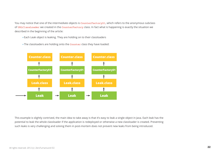You may notice that one of the intermediate objects is CounterFactory\$1, which refers to the anonymous subclass of URLClassLoader we created in the CounterFactory class. In fact what is happening is exactly the situation we described in the beginning of the article:

- Each Leak object is leaking. They are holding on to their classloaders
- The classloaders are holding onto the Counter class they have loaded:



This example is slightly contrived, the main idea to take away is that it's easy to leak a single object in Java. Each leak has the potential to leak the whole classloader if the application is redeployed or otherwise a new classloader is created. Preventing such leaks is very challenging and solving them in post-mortem does not prevent new leaks from being introduced.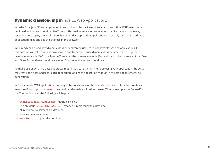## **Dynamic classloading in** Java EE Web Applications

In order for a Java EE web application to run, it has to be packaged into an archive with a .WAR extension and deployed to a servlet container like Tomcat. This makes sense in production, as it gives you a simple way to assemble and deploy the application, but when developing that application you usually just want to edit the application's files and see the changes in the browser.

We already examined how dynamic classloaders can be used to reload Java classes and applications. In this part, we will take a look at how servers and frameworks use dynamic classloaders to speed up the development cycle. We'll use Apache Tomcat as the primary example (Tomcat is also directly relevant for JBoss and GlassFish as these containers embed Tomcat as the servlet container).

To make use of dynamic classloaders we must first create them. When deploying your application, the server will create one classloader for each application (and each application module in the case of an enterprise application).

In Tomcat each .WAR application is managed by an instance of the StandardContext class that creates an instance of WebappClassLoader used to load the web application classes. When a user presses "reload" in the Tomcat Manager the following will happen:

- StandardContext.reload() method is called
- The previous WebappClassLoader instance is replaced with a new one
- All reference to servlets are dropped
- New servlets are created
- Servlet.init() is called on them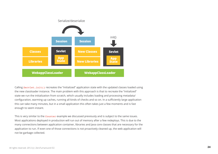

Calling Servlet.init() recreates the "initialized" application state with the updated classes loaded using the new classloader instance. The main problem with this approach is that to recreate the "initialized" state we run the initialization from scratch, which usually includes loading and processing metadata/ configuration, warming up caches, running all kinds of checks and so on. In a sufficiently large application this can take many minutes, but in a small application this often takes just a few moments and is fast enough to seem instant.

This is very similar to the Counter example we discussed previously and is subject to the same issues. Most applications deployed in production will run out of memory after a few redeploys. This is due to the many connections between application container, libraries and Java core classes that are necessary for the application to run. If even one of those connections is not proactively cleaned up, the web application will not be garbage collected.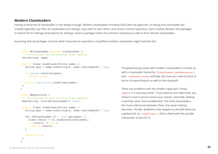#### **Modern Classloaders**

Having a hierarchy of classloaders is not always enough. Modern classloaders including OSGi take the approach of having one classloader per module (typically a jar file). All classloaders are siblings, may refer to each other, and share a central repository. Each module declares the packages it imports (from siblings) and exports (to siblings). Given a package name, the common repository is able to find relevant classloaders.

Assuming that all packages must be either imported or exported, a simplified modular classloader might look like this:

```
class MClassLoader extends ClassLoader {
 // Initialized during startup from imports
  Set<String> imps;
 public Class loadClass(String name) {
   String pkg = name.substring(0, name.lastIndexOf('.'));
    if (!imps.contains(pkg))
      return null;
    return repository.loadClass(name);
 }
}
class MRepository {
  // Initialized during startup from exports
 Map<String, List<MClassLoader>> exps;
 public Class loadClass(String name) {
   String pkg = name.substring(0, name.lastIndexOf('.'));
    for (MClassLoader cl : exps.get(pkg)) {
      Class result = cl.loadLocalClass(name);
      if (result != null)
        return result;
   }
    return null;
  }
}
```
Troubleshooting issues with modern classloaders is similar as with a classloader hierarchy: ClassLoader.getResource() and -verbose: class still help. But now you need to think in terms of export/import as well as the classpath.

There are problems with the modern approach. Firstly, import is a one-way street - if you want to use Hibernate, you import it, but it cannot access your classes. Secondly, leaking is perhaps even more problematic: the more classloaders, the more references between them, the easier leaking becomes. Thirdly, deadlocks may happen as the JVM enforces a global lock on loadClass() (this is fixed with the parallel classloader in Java SE 7).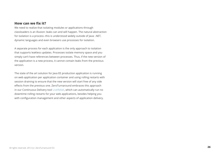#### **How can we fix it?**

We need to realize that isolating modules or applications through classloaders is an illusion: leaks can and will happen. The natural abstraction for isolation is a process--this is understood widely outside of Java: .NET, dynamic languages and even browsers use processes for isolation.

A separate process for each application is the only approach to isolation that supports leakless updates. Processes isolate memory space and you simply can't have references between processes. Thus, if the new version of the application is a new process, it cannot contain leaks from the previous version.

The state of the art solution for Java EE production application is running on web application per application container and using rolling restarts with session draining to ensure that the new version will start free of any side effects from the previous one. ZeroTurnaround embraces this approach in our Continuous Delivery tool [LiveRebel,](http://liverebel.com) which can automatically run no downtime rolling restarts for your web applications, besides helping you with configuration management and other aspects of application delivery.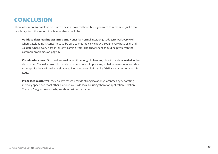## **CONCLUSION**

There a lot more to classloaders that we haven't covered here, but if you were to remember just a few key things from this report, this is what they should be:

**Validate classloading assumptions.** Honestly! Normal intuition just doesn't work very well when classloading is concerned. So be sure to methodically check through every possibility and validate where every class is (or isn't) coming from. The cheat sheet should help you with the common problems. (on page 12)

**Classloaders leak.** Or to leak a classloader, it's enough to leak any object of a class loaded in that classloader. The naked truth is that classloaders do not impose any isolation guarantees and thus most applications will leak classloaders. Even modern solutions like OSGi are not immune to this issue.

**Processes work.** Well, they do. Processes provide strong isolation guarantees by separating memory space and most other platforms outside Java are using them for application isolation. There isn't a good reason why we shouldn't do the same.